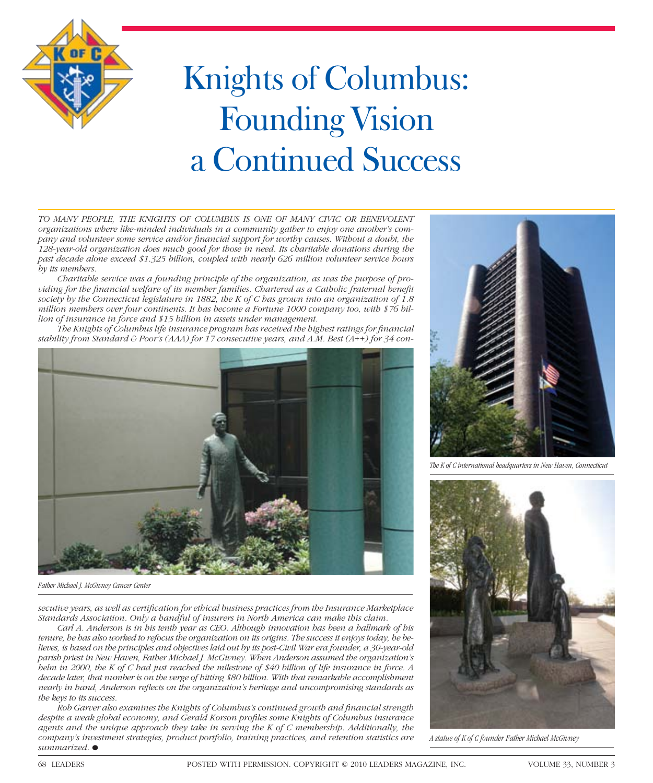

## Knights of Columbus: Founding Vision a Continued Success

*TO MANY PEOPLE, THE KNIGHTS OF COLUMBUS IS ONE OF MANY CIVIC OR BENEVOLENT organizations where like-minded individuals in a community gather to enjoy one another's company and volunteer some service and/or financial support for worthy causes. Without a doubt, the 128-year-old organization does much good for those in need. Its charitable donations during the past decade alone exceed \$1.325 billion, coupled with nearly 626 million volunteer service hours by its members.*

*Charitable service was a founding principle of the organization, as was the purpose of providing for the financial welfare of its member families. Chartered as a Catholic fraternal benefit society by the Connecticut legislature in 1882, the K of C has grown into an organization of 1.8 million members over four continents. It has become a Fortune 1000 company too, with \$76 billion of insurance in force and \$15 billion in assets under management.* 

The Knights of Columbus life insurance program has received the highest ratings for financial *stability from Standard & Poor's (AAA) for 17 consecutive years, and A.M. Best (A++) for 34 con-*



*Father Michael J. McGivney Cancer Center*

*secutive years, as well as certifi cation for ethical business practices from the Insurance Marketplace Standards Association. Only a handful of insurers in North America can make this claim.*

*Carl A. Anderson is in his tenth year as CEO. Although innovation has been a hallmark of his tenure, he has also worked to refocus the organization on its origins. The success it enjoys today, he believes, is based on the principles and objectives laid out by its post-Civil War era founder, a 30-year-old parish priest in New Haven, Father Michael J. McGivney. When Anderson assumed the organization's helm in 2000, the K of C had just reached the milestone of \$40 billion of life insurance in force. A decade later, that number is on the verge of hitting \$80 billion. With that remarkable accomplishment nearly in hand, Anderson reflects on the organization's heritage and uncompromising standards as the keys to its success.*

*Rob Garver also examines the Knights of Columbus's continued growth and fi nancial strength*  despite a weak global economy, and Gerald Korson profiles some Knights of Columbus insurance *agents and the unique approach they take in serving the K of C membership. Additionally, the company's investment strategies, product portfolio, training practices, and retention statistics are summarized.•*



*The K of C international headquarters in New Haven, Connecticut*



*A statue of K of C founder Father Michael McGivney*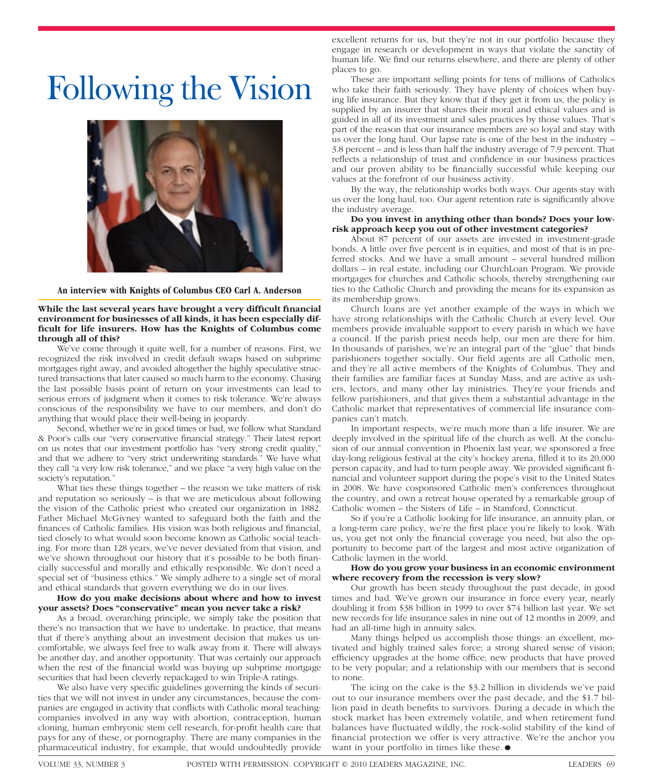### Following the Vision



#### **An interview with Knights of Columbus CEO Carl A. Anderson**

**While the last several years have brought a very difficult financial environment for businesses of all kinds, it has been especially dif**ficult for life insurers. How has the Knights of Columbus come **through all of this?**

We've come through it quite well, for a number of reasons. First, we recognized the risk involved in credit default swaps based on subprime mortgages right away, and avoided altogether the highly speculative structured transactions that later caused so much harm to the economy. Chasing the last possible basis point of return on your investments can lead to serious errors of judgment when it comes to risk tolerance. We're always conscious of the responsibility we have to our members, and don't do anything that would place their well-being in jeopardy.

Second, whether we're in good times or bad, we follow what Standard & Poor's calls our "very conservative financial strategy." Their latest report on us notes that our investment portfolio has "very strong credit quality," and that we adhere to "very strict underwriting standards." We have what they call "a very low risk tolerance," and we place "a very high value on the society's reputation."

What ties these things together – the reason we take matters of risk and reputation so seriously – is that we are meticulous about following the vision of the Catholic priest who created our organization in 1882. Father Michael McGivney wanted to safeguard both the faith and the finances of Catholic families. His vision was both religious and financial, tied closely to what would soon become known as Catholic social teaching. For more than 128 years, we've never deviated from that vision, and we've shown throughout our history that it's possible to be both financially successful and morally and ethically responsible. We don't need a special set of "business ethics." We simply adhere to a single set of moral and ethical standards that govern everything we do in our lives.

#### **How do you make decisions about where and how to invest your assets? Does "conservative" mean you never take a risk?**

As a broad, overarching principle, we simply take the position that there's no transaction that we have to undertake. In practice, that means that if there's anything about an investment decision that makes us uncomfortable, we always feel free to walk away from it. There will always be another day, and another opportunity. That was certainly our approach when the rest of the financial world was buying up subprime mortgage securities that had been cleverly repackaged to win Triple-A ratings.

We also have very specific guidelines governing the kinds of securities that we will not invest in under any circumstances, because the companies are engaged in activity that conflicts with Catholic moral teaching: companies involved in any way with abortion, contraception, human cloning, human embryonic stem cell research, for-profit health care that pays for any of these, or pornography. There are many companies in the pharmaceutical industry, for example, that would undoubtedly provide

excellent returns for us, but they're not in our portfolio because they engage in research or development in ways that violate the sanctity of human life. We find our returns elsewhere, and there are plenty of other places to go.

These are important selling points for tens of millions of Catholics who take their faith seriously. They have plenty of choices when buying life insurance. But they know that if they get it from us, the policy is supplied by an insurer that shares their moral and ethical values and is guided in all of its investment and sales practices by those values. That's part of the reason that our insurance members are so loyal and stay with us over the long haul. Our lapse rate is one of the best in the industry – 3.8 percent – and is less than half the industry average of 7.9 percent. That reflects a relationship of trust and confidence in our business practices and our proven ability to be financially successful while keeping our values at the forefront of our business activity.

By the way, the relationship works both ways. Our agents stay with us over the long haul, too. Our agent retention rate is significantly above the industry average.

#### **Do you invest in anything other than bonds? Does your lowrisk approach keep you out of other investment categories?**

About 87 percent of our assets are invested in investment-grade bonds. A little over five percent is in equities, and most of that is in preferred stocks. And we have a small amount – several hundred million dollars – in real estate, including our ChurchLoan Program. We provide mortgages for churches and Catholic schools, thereby strengthening our ties to the Catholic Church and providing the means for its expansion as its membership grows.

Church loans are yet another example of the ways in which we have strong relationships with the Catholic Church at every level. Our members provide invaluable support to every parish in which we have a council. If the parish priest needs help, our men are there for him. In thousands of parishes, we're an integral part of the "glue" that binds parishioners together socially. Our field agents are all Catholic men, and they're all active members of the Knights of Columbus. They and their families are familiar faces at Sunday Mass, and are active as ushers, lectors, and many other lay ministries. They're your friends and fellow parishioners, and that gives them a substantial advantage in the Catholic market that representatives of commercial life insurance companies can't match.

In important respects, we're much more than a life insurer. We are deeply involved in the spiritual life of the church as well. At the conclusion of our annual convention in Phoenix last year, we sponsored a free day-long religious festival at the city's hockey arena, filled it to its 20,000 person capacity, and had to turn people away. We provided significant financial and volunteer support during the pope's visit to the United States in 2008. We have cosponsored Catholic men's conferences throughout the country, and own a retreat house operated by a remarkable group of Catholic women – the Sisters of Life – in Stamford, Conncticut.

So if you're a Catholic looking for life insurance, an annuity plan, or a long-term care policy, we're the first place you're likely to look. With us, you get not only the financial coverage you need, but also the opportunity to become part of the largest and most active organization of Catholic laymen in the world.

#### **How do you grow your business in an economic environment where recovery from the recession is very slow?**

Our growth has been steady throughout the past decade, in good times and bad. We've grown our insurance in force every year, nearly doubling it from \$38 billion in 1999 to over \$74 billion last year. We set new records for life insurance sales in nine out of 12 months in 2009, and had an all-time high in annuity sales.

Many things helped us accomplish those things: an excellent, motivated and highly trained sales force; a strong shared sense of vision; efficiency upgrades at the home office; new products that have proved to be very popular; and a relationship with our members that is second to none.

The icing on the cake is the \$3.2 billion in dividends we've paid out to our insurance members over the past decade, and the \$1.7 billion paid in death benefits to survivors. During a decade in which the stock market has been extremely volatile, and when retirement fund balances have fluctuated wildly, the rock-solid stability of the kind of financial protection we offer is very attractive. We're the anchor you want in your portfolio in times like these.  $\bullet$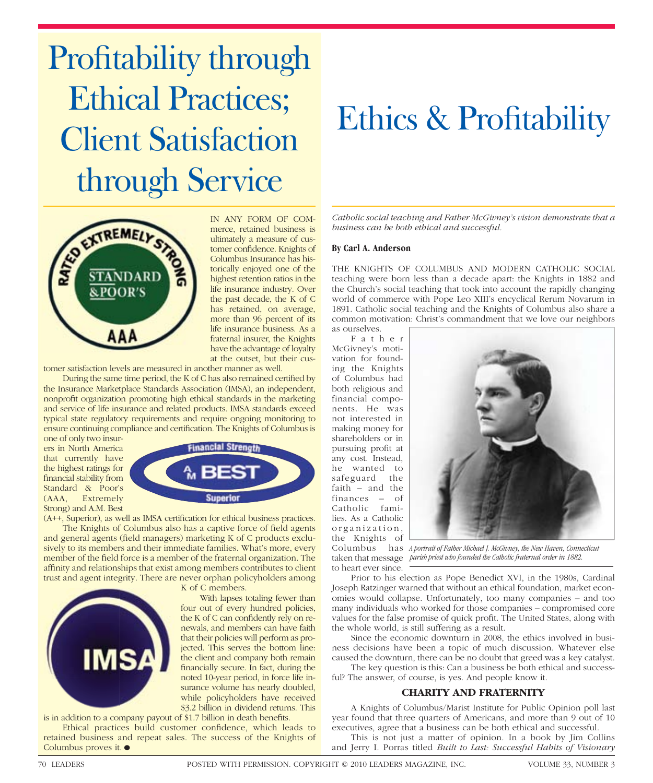# Profitability through Ethical Practices; Client Satisfaction through Service



IN ANY FORM OF COMmerce, retained business is ultimately a measure of customer confidence. Knights of Columbus Insurance has historically enjoyed one of the highest retention ratios in the life insurance industry. Over the past decade, the K of C has retained, on average, more than 96 percent of its life insurance business. As a fraternal insurer, the Knights have the advantage of loyalty at the outset, but their cus-

tomer satisfaction levels are measured in another manner as well.

During the same time period, the K of C has also remained certified by the Insurance Marketplace Standards Association (IMSA), an independent, nonprofit organization promoting high ethical standards in the marketing and service of life insurance and related products. IMSA standards exceed typical state regulatory requirements and require ongoing monitoring to ensure continuing compliance and certification. The Knights of Columbus is one of only two insur-

ers in North America that currently have the highest ratings for financial stability from Standard & Poor's (AAA, Extremely Strong) and A.M. Best

**IMS** 



(A++, Superior), as well as IMSA certification for ethical business practices.

The Knights of Columbus also has a captive force of field agents and general agents (field managers) marketing K of C products exclusively to its members and their immediate families. What's more, every member of the field force is a member of the fraternal organization. The affinity and relationships that exist among members contributes to client trust and agent integrity. There are never orphan policyholders among



With lapses totaling fewer than four out of every hundred policies, the K of C can confidently rely on renewals, and members can have faith that their policies will perform as projected. This serves the bottom line: the client and company both remain financially secure. In fact, during the noted 10-year period, in force life insurance volume has nearly doubled, while policyholders have received \$3.2 billion in dividend returns. This

is in addition to a company payout of  $$1.7$  billion in death benefits. Ethical practices build customer confidence, which leads to retained business and repeat sales. The success of the Knights of Columbus proves it.  $\bullet$ 

### Ethics & Profitability

*Catholic social teaching and Father McGivney's vision demonstrate that a business can be both ethical and successful.*

#### **By Carl A. Anderson**

THE KNIGHTS OF COLUMBUS AND MODERN CATHOLIC SOCIAL teaching were born less than a decade apart: the Knights in 1882 and the Church's social teaching that took into account the rapidly changing world of commerce with Pope Leo XIII's encyclical Rerum Novarum in 1891. Catholic social teaching and the Knights of Columbus also share a common motivation: Christ's commandment that we love our neighbors as ourselves.

F a t h e r McGivney's motivation for founding the Knights of Columbus had both religious and financial components. He was not interested in making money for shareholders or in pursuing profit at any cost. Instead, he wanted to safeguard the faith – and the finances – of Catholic families. As a Catholic organization, the Knights of Columbus

to heart ever since.



taken that message *parish priest who founded the Catholic fraternal order in 1882. A portrait of Father Michael J. McGivney, the New Haven, Connecticut* 

Prior to his election as Pope Benedict XVI, in the 1980s, Cardinal Joseph Ratzinger warned that without an ethical foundation, market economies would collapse. Unfortunately, too many companies – and too many individuals who worked for those companies – compromised core values for the false promise of quick profit. The United States, along with the whole world, is still suffering as a result.

Since the economic downturn in 2008, the ethics involved in business decisions have been a topic of much discussion. Whatever else caused the downturn, there can be no doubt that greed was a key catalyst.

The key question is this: Can a business be both ethical and successful? The answer, of course, is yes. And people know it.

#### **CHARITY AND FRATERNITY**

A Knights of Columbus/Marist Institute for Public Opinion poll last year found that three quarters of Americans, and more than 9 out of 10 executives, agree that a business can be both ethical and successful.

This is not just a matter of opinion. In a book by Jim Collins and Jerry I. Porras titled *Built to Last: Successful Habits of Visionary*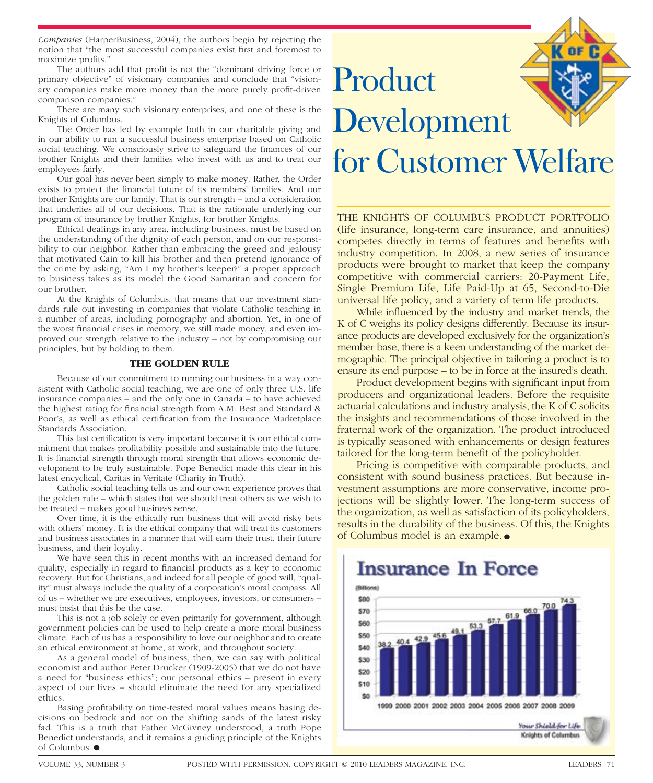*Companies* (HarperBusiness, 2004), the authors begin by rejecting the notion that "the most successful companies exist first and foremost to maximize profits."

The authors add that profit is not the "dominant driving force or primary objective" of visionary companies and conclude that "visionary companies make more money than the more purely profit-driven comparison companies."

There are many such visionary enterprises, and one of these is the Knights of Columbus.

The Order has led by example both in our charitable giving and in our ability to run a successful business enterprise based on Catholic social teaching. We consciously strive to safeguard the finances of our brother Knights and their families who invest with us and to treat our employees fairly.

Our goal has never been simply to make money. Rather, the Order exists to protect the financial future of its members' families. And our brother Knights are our family. That is our strength – and a consideration that underlies all of our decisions. That is the rationale underlying our program of insurance by brother Knights, for brother Knights.

Ethical dealings in any area, including business, must be based on the understanding of the dignity of each person, and on our responsibility to our neighbor. Rather than embracing the greed and jealousy that motivated Cain to kill his brother and then pretend ignorance of the crime by asking, "Am I my brother's keeper?" a proper approach to business takes as its model the Good Samaritan and concern for our brother.

At the Knights of Columbus, that means that our investment standards rule out investing in companies that violate Catholic teaching in a number of areas, including pornography and abortion. Yet, in one of the worst financial crises in memory, we still made money, and even improved our strength relative to the industry – not by compromising our principles, but by holding to them.

#### **THE GOLDEN RULE**

Because of our commitment to running our business in a way consistent with Catholic social teaching, we are one of only three U.S. life insurance companies – and the only one in Canada – to have achieved the highest rating for financial strength from A.M. Best and Standard  $\&$ Poor's, as well as ethical certification from the Insurance Marketplace Standards Association.

This last certification is very important because it is our ethical commitment that makes profitability possible and sustainable into the future. It is financial strength through moral strength that allows economic development to be truly sustainable. Pope Benedict made this clear in his latest encyclical, Caritas in Veritate (Charity in Truth).

Catholic social teaching tells us and our own experience proves that the golden rule – which states that we should treat others as we wish to be treated – makes good business sense.

Over time, it is the ethically run business that will avoid risky bets with others' money. It is the ethical company that will treat its customers and business associates in a manner that will earn their trust, their future business, and their loyalty.

We have seen this in recent months with an increased demand for quality, especially in regard to financial products as a key to economic recovery. But for Christians, and indeed for all people of good will, "quality" must always include the quality of a corporation's moral compass. All of us – whether we are executives, employees, investors, or consumers – must insist that this be the case.

This is not a job solely or even primarily for government, although government policies can be used to help create a more moral business climate. Each of us has a responsibility to love our neighbor and to create an ethical environment at home, at work, and throughout society.

As a general model of business, then, we can say with political economist and author Peter Drucker (1909-2005) that we do not have a need for "business ethics"; our personal ethics – present in every aspect of our lives – should eliminate the need for any specialized ethics.

Basing profitability on time-tested moral values means basing decisions on bedrock and not on the shifting sands of the latest risky fad. This is a truth that Father McGivney understood, a truth Pope Benedict understands, and it remains a guiding principle of the Knights of Columbus. ●



THE KNIGHTS OF COLUMBUS PRODUCT PORTFOLIO (life insurance, long-term care insurance, and annuities) competes directly in terms of features and benefits with industry competition. In 2008, a new series of insurance products were brought to market that keep the company competitive with commercial carriers: 20-Payment Life, Single Premium Life, Life Paid-Up at 65, Second-to-Die universal life policy, and a variety of term life products.

While influenced by the industry and market trends, the K of C weighs its policy designs differently. Because its insurance products are developed exclusively for the organization's member base, there is a keen understanding of the market demographic. The principal objective in tailoring a product is to ensure its end purpose – to be in force at the insured's death.

Product development begins with significant input from producers and organizational leaders. Before the requisite actuarial calculations and industry analysis, the K of C solicits the insights and recommendations of those involved in the fraternal work of the organization. The product introduced is typically seasoned with enhancements or design features tailored for the long-term benefit of the policyholder.

Pricing is competitive with comparable products, and consistent with sound business practices. But because investment assumptions are more conservative, income projections will be slightly lower. The long-term success of the organization, as well as satisfaction of its policyholders, results in the durability of the business. Of this, the Knights of Columbus model is an example. ●

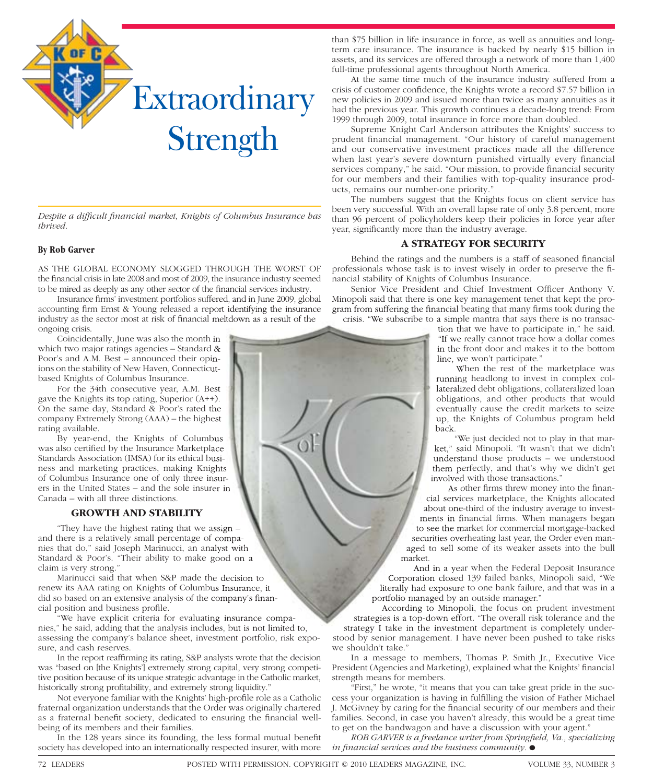

Despite a difficult financial market, Knights of Columbus Insurance has *thrived.*

#### **By Rob Garver**

AS THE GLOBAL ECONOMY SLOGGED THROUGH THE WORST OF the financial crisis in late 2008 and most of 2009, the insurance industry seemed to be mired as deeply as any other sector of the financial services industry.

Insurance firms' investment portfolios suffered, and in June 2009, global accounting firm Ernst & Young released a report identifying the insurance industry as the sector most at risk of financial meltdown as a result of the ongoing crisis.

Coincidentally, June was also the month in which two major ratings agencies – Standard & Poor's and A.M. Best – announced their opinions on the stability of New Haven, Connecticutbased Knights of Columbus Insurance.

For the 34th consecutive year, A.M. Best gave the Knights its top rating, Superior (A++). On the same day, Standard & Poor's rated the company Extremely Strong (AAA) – the highest rating available.

By year-end, the Knights of Columbus was also certified by the Insurance Marketplace Standards Association (IMSA) for its ethical business and marketing practices, making Knights of Columbus Insurance one of only three insurers in the United States – and the sole insurer in Canada – with all three distinctions.

#### **GROWTH AND STABILITY**

"They have the highest rating that we assign – and there is a relatively small percentage of companies that do," said Joseph Marinucci, an analyst with Standard & Poor's. "Their ability to make good on a claim is very strong."

Marinucci said that when S&P made the decision to renew its AAA rating on Knights of Columbus Insurance, it did so based on an extensive analysis of the company's financial position and business profile.

"We have explicit criteria for evaluating insurance companies," he said, adding that the analysis includes, but is not limited to, assessing the company's balance sheet, investment portfolio, risk exposure, and cash reserves.

In the report reaffirming its rating, S&P analysts wrote that the decision was "based on [the Knights'] extremely strong capital, very strong competitive position because of its unique strategic advantage in the Catholic market, historically strong profitability, and extremely strong liquidity."

Not everyone familiar with the Knights' high-profile role as a Catholic fraternal organization understands that the Order was originally chartered as a fraternal benefit society, dedicated to ensuring the financial wellbeing of its members and their families.

In the 128 years since its founding, the less formal mutual benefit society has developed into an internationally respected insurer, with more

than \$75 billion in life insurance in force, as well as annuities and longterm care insurance. The insurance is backed by nearly \$15 billion in assets, and its services are offered through a network of more than 1,400 full-time professional agents throughout North America.

At the same time much of the insurance industry suffered from a crisis of customer confidence, the Knights wrote a record \$7.57 billion in new policies in 2009 and issued more than twice as many annuities as it had the previous year. This growth continues a decade-long trend: From 1999 through 2009, total insurance in force more than doubled.

Supreme Knight Carl Anderson attributes the Knights' success to prudent financial management. "Our history of careful management and our conservative investment practices made all the difference when last year's severe downturn punished virtually every financial services company," he said. "Our mission, to provide financial security for our members and their families with top-quality insurance products, remains our number-one priority."

The numbers suggest that the Knights focus on client service has been very successful. With an overall lapse rate of only 3.8 percent, more than 96 percent of policyholders keep their policies in force year after year, significantly more than the industry average.

#### **A STRATEGY FOR SECURITY**

Behind the ratings and the numbers is a staff of seasoned financial professionals whose task is to invest wisely in order to preserve the financial stability of Knights of Columbus Insurance.

Senior Vice President and Chief Investment Officer Anthony V. Minopoli said that there is one key management tenet that kept the program from suffering the financial beating that many firms took during the crisis. "We subscribe to a simple mantra that says there is no transac-

> tion that we have to participate in," he said. "If we really cannot trace how a dollar comes in the front door and makes it to the bottom line, we won't participate."

> When the rest of the marketplace was running headlong to invest in complex collateralized debt obligations, collateralized loan obligations, and other products that would eventually cause the credit markets to seize up, the Knights of Columbus program held back.

"We just decided not to play in that market," said Minopoli. "It wasn't that we didn't understand those products – we understood them perfectly, and that's why we didn't get involved with those transactions."

As other firms threw money into the financial services marketplace, the Knights allocated about one-third of the industry average to investments in financial firms. When managers began to see the market for commercial mortgage-backed securities overheating last year, the Order even managed to sell some of its weaker assets into the bull

And in a year when the Federal Deposit Insurance Corporation closed 139 failed banks, Minopoli said, "We literally had exposure to one bank failure, and that was in a portfolio managed by an outside manager."

According to Minopoli, the focus on prudent investment strategies is a top-down effort. "The overall risk tolerance and the strategy I take in the investment department is completely understood by senior management. I have never been pushed to take risks we shouldn't take."

In a message to members, Thomas P. Smith Jr., Executive Vice President (Agencies and Marketing), explained what the Knights' financial strength means for members.

"First," he wrote, "it means that you can take great pride in the success your organization is having in fulfilling the vision of Father Michael J. McGivney by caring for the financial security of our members and their families. Second, in case you haven't already, this would be a great time to get on the bandwagon and have a discussion with your agent."

*ROB GARVER is a freelance writer from Springfield, Va., specializing in financial services and the business community.*  $\bullet$ 

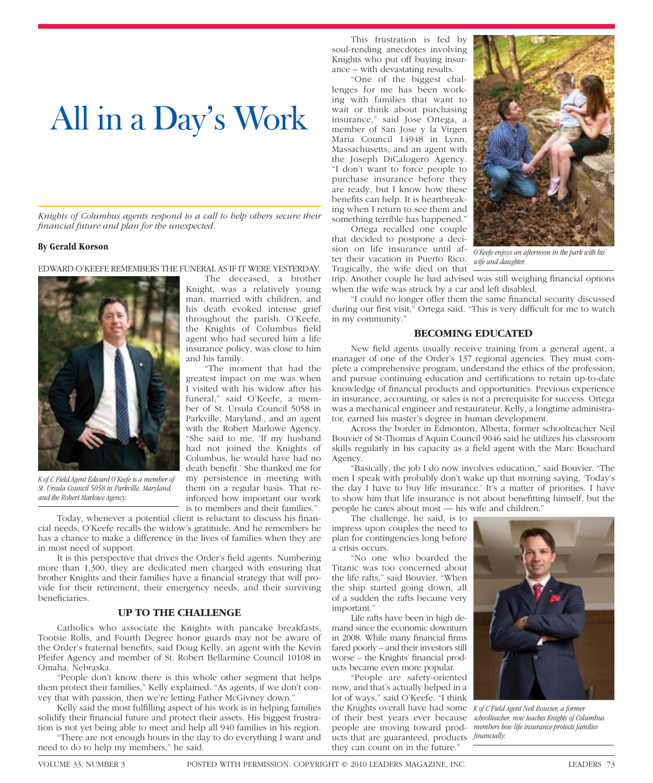## All in a Day's Work

*Knights of Columbus agents respond to a call to help others secure their fi nancial future and plan for the unexpected.*

#### **By Gerald Korson**

EDWARD O'KEEFE REMEMBERS THE FUNERAL AS IF IT WERE YESTERDAY.



*K of C Field Agent Edward O'Keefe is a member of St. Ursula Council 5058 in Parkville, Maryland, and the Robert Marlowe Agency.*

Today, whenever a potential client is reluctant to discuss his financial needs, O'Keefe recalls the widow's gratitude. And he remembers he has a chance to make a difference in the lives of families when they are in most need of support.

It is this perspective that drives the Order's field agents. Numbering more than 1,300, they are dedicated men charged with ensuring that brother Knights and their families have a financial strategy that will provide for their retirement, their emergency needs, and their surviving beneficiaries.

#### **UP TO THE CHALLENGE**

Catholics who associate the Knights with pancake breakfasts, Tootsie Rolls, and Fourth Degree honor guards may not be aware of the Order's fraternal benefits, said Doug Kelly, an agent with the Kevin Pfeifer Agency and member of St. Robert Bellarmine Council 10108 in Omaha, Nebraska.

"People don't know there is this whole other segment that helps them protect their families," Kelly explained. "As agents, if we don't convey that with passion, then we're letting Father McGivney down."

Kelly said the most fulfilling aspect of his work is in helping families solidify their financial future and protect their assets. His biggest frustration is not yet being able to meet and help all 940 families in his region. "There are not enough hours in the day to do everything I want and

need to do to help my members," he said.

The deceased, a brother Knight, was a relatively young man, married with children, and his death evoked intense grief throughout the parish. O'Keefe, the Knights of Columbus field agent who had secured him a life insurance policy, was close to him and his family.

"The moment that had the greatest impact on me was when I visited with his widow after his funeral," said O'Keefe, a member of St. Ursula Council 5058 in Parkville, Maryland., and an agent with the Robert Marlowe Agency. "She said to me, 'If my husband had not joined the Knights of Columbus, he would have had no death benefit.' She thanked me for my persistence in meeting with them on a regular basis. That reinforced how important our work is to members and their families."

Agency.

The challenge, he said, is to

"No one who boarded the Titanic was too concerned about the life rafts," said Bouvier. "When the ship started going down, all of a sudden the rafts became very important."

Life rafts have been in high demand since the economic downturn in 2008. While many financial firms fared poorly – and their investors still worse – the Knights' financial products became even more popular.

"People are safety-oriented now, and that's actually helped in a lot of ways," said O'Keefe. "I think the Knights overall have had some *K of C Field Agent Neil Bouvier, a former*  of their best years ever because *schoolteacher, now teaches Knights of Columbus*  people are moving toward products that are guaranteed, products *financially*. they can count on in the future."



*O'Keefe enjoys an afternoon in the park with his wife and daughter.*

trip. Another couple he had advised was still weighing financial options when the wife was struck by a car and left disabled.

"I could no longer offer them the same financial security discussed during our first visit," Ortega said. "This is very difficult for me to watch in my community."

#### **BECOMING EDUCATED**

New field agents usually receive training from a general agent, a manager of one of the Order's 137 regional agencies. They must complete a comprehensive program, understand the ethics of the profession, and pursue continuing education and certifications to retain up-to-date knowledge of financial products and opportunities. Previous experience in insurance, accounting, or sales is not a prerequisite for success. Ortega was a mechanical engineer and restaurateur. Kelly, a longtime administrator, earned his master's degree in human development.

Across the border in Edmonton, Alberta, former schoolteacher Neil Bouvier of St-Thomas d'Aquin Council 9046 said he utilizes his classroom skills regularly in his capacity as a field agent with the Marc Bouchard

"Basically, the job I do now involves education," said Bouvier. "The men I speak with probably don't wake up that morning saying, 'Today's the day I have to buy life insurance.' It's a matter of priorities. I have to show him that life insurance is not about benefitting himself, but the people he cares about most — his wife and children."

impress upon couples the need to plan for contingencies long before a crisis occurs.

This frustration is fed by soul-rending anecdotes involving Knights who put off buying insurance – with devastating results.

"One of the biggest challenges for me has been working with families that want to wait or think about purchasing insurance," said Jose Ortega, a member of San Jose y la Virgen Maria Council 14948 in Lynn, Massachusetts, and an agent with the Joseph DiCalogero Agency. "I don't want to force people to purchase insurance before they are ready, but I know how these benefits can help. It is heartbreaking when I return to see them and something terrible has happened." Ortega recalled one couple that decided to postpone a decision on life insurance until after their vacation in Puerto Rico. Tragically, the wife died on that

*members how life insurance protects families*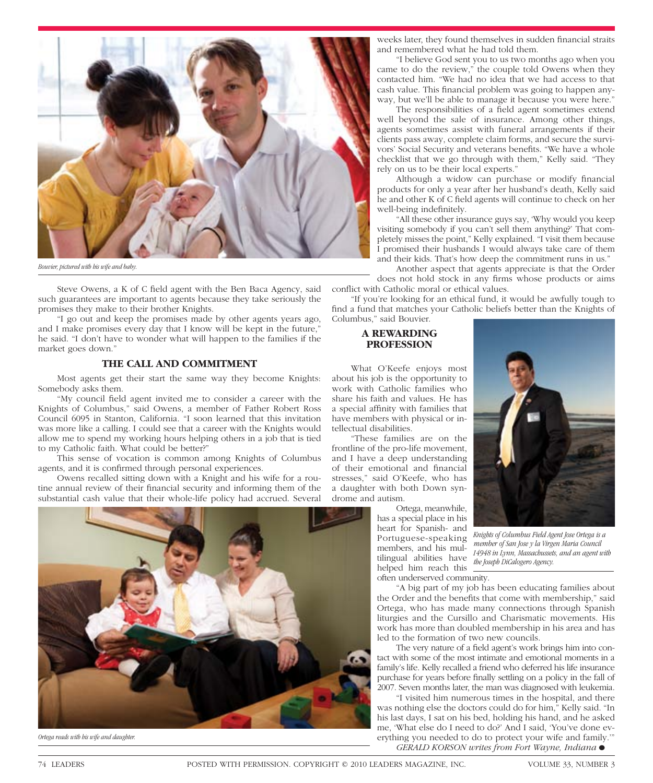

*Bouvier, pictured with his wife and baby.*

Steve Owens, a K of C field agent with the Ben Baca Agency, said such guarantees are important to agents because they take seriously the promises they make to their brother Knights.

"I go out and keep the promises made by other agents years ago, and I make promises every day that I know will be kept in the future," he said. "I don't have to wonder what will happen to the families if the market goes down."

#### **THE CALL AND COMMITMENT**

Most agents get their start the same way they become Knights: Somebody asks them.

"My council field agent invited me to consider a career with the Knights of Columbus," said Owens, a member of Father Robert Ross Council 6095 in Stanton, California. "I soon learned that this invitation was more like a calling. I could see that a career with the Knights would allow me to spend my working hours helping others in a job that is tied to my Catholic faith. What could be better?"

This sense of vocation is common among Knights of Columbus agents, and it is confirmed through personal experiences.

Owens recalled sitting down with a Knight and his wife for a routine annual review of their financial security and informing them of the substantial cash value that their whole-life policy had accrued. Several



*Ortega reads with his wife and daughter.*

weeks later, they found themselves in sudden financial straits and remembered what he had told them.

"I believe God sent you to us two months ago when you came to do the review," the couple told Owens when they contacted him. "We had no idea that we had access to that cash value. This financial problem was going to happen anyway, but we'll be able to manage it because you were here."

The responsibilities of a field agent sometimes extend well beyond the sale of insurance. Among other things, agents sometimes assist with funeral arrangements if their clients pass away, complete claim forms, and secure the survivors' Social Security and veterans benefits. "We have a whole checklist that we go through with them," Kelly said. "They rely on us to be their local experts."

Although a widow can purchase or modify financial products for only a year after her husband's death, Kelly said he and other K of C field agents will continue to check on her well-being indefinitely.

"All these other insurance guys say, 'Why would you keep visiting somebody if you can't sell them anything?' That completely misses the point," Kelly explained. "I visit them because I promised their husbands I would always take care of them and their kids. That's how deep the commitment runs in us."

Another aspect that agents appreciate is that the Order does not hold stock in any firms whose products or aims

conflict with Catholic moral or ethical values. "If you're looking for an ethical fund, it would be awfully tough to find a fund that matches your Catholic beliefs better than the Knights of

#### **A REWARDING PROFESSION**

Columbus," said Bouvier.

What O'Keefe enjoys most about his job is the opportunity to work with Catholic families who share his faith and values. He has a special affinity with families that have members with physical or intellectual disabilities.

"These families are on the frontline of the pro-life movement, and I have a deep understanding of their emotional and financial stresses," said O'Keefe, who has a daughter with both Down syndrome and autism.

> Ortega, meanwhile, has a special place in his heart for Spanish- and Portuguese-speaking members, and his multilingual abilities have helped him reach this often underserved community.



*Knights of Columbus Field Agent Jose Ortega is a member of San Jose y la Virgen Maria Council 14948 in Lynn, Massachussets, and an agent with the Joseph DiCalogero Agency.*

"A big part of my job has been educating families about the Order and the benefits that come with membership," said Ortega, who has made many connections through Spanish liturgies and the Cursillo and Charismatic movements. His work has more than doubled membership in his area and has led to the formation of two new councils.

The very nature of a field agent's work brings him into contact with some of the most intimate and emotional moments in a family's life. Kelly recalled a friend who deferred his life insurance purchase for years before finally settling on a policy in the fall of 2007. Seven months later, the man was diagnosed with leukemia.

"I visited him numerous times in the hospital, and there was nothing else the doctors could do for him," Kelly said. "In his last days, I sat on his bed, holding his hand, and he asked me, 'What else do I need to do?' And I said, 'You've done everything you needed to do to protect your wife and family.'"

*GERALD KORSON writes from Fort Wayne, Indiana•*